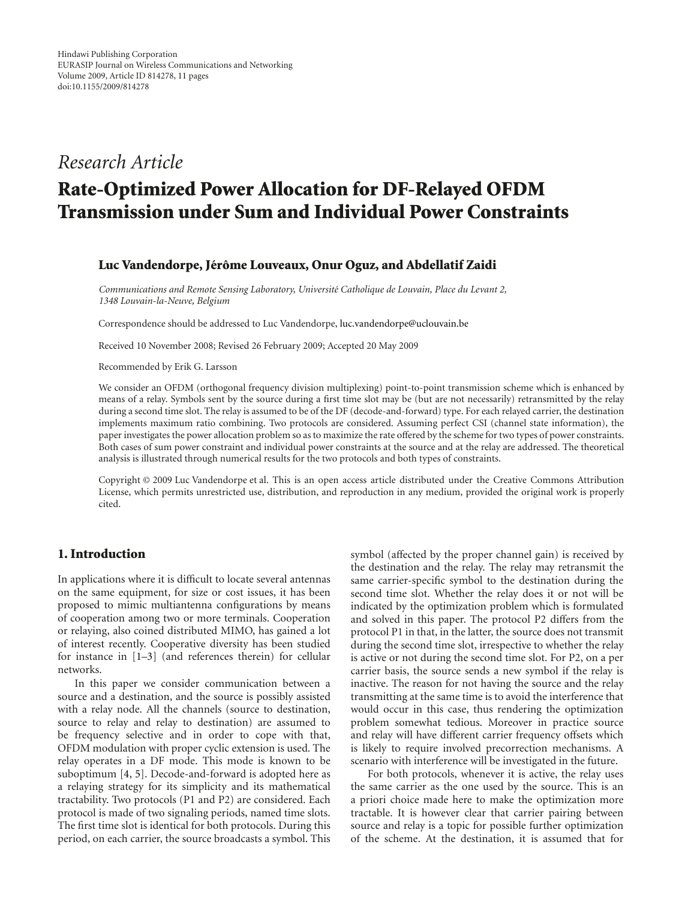# *Research Article*

# **Rate-Optimized Power Allocation for DF-Relayed OFDM Transmission under Sum and Individual Power Constraints**

#### **Luc Vandendorpe, Jérôme Louveaux, Onur Oguz, and Abdellatif Zaidi**

*Communications and Remote Sensing Laboratory, Universit´e Catholique de Louvain, Place du Levant 2, 1348 Louvain-la-Neuve, Belgium*

Correspondence should be addressed to Luc Vandendorpe, luc.vandendorpe@uclouvain.be

Received 10 November 2008; Revised 26 February 2009; Accepted 20 May 2009

Recommended by Erik G. Larsson

We consider an OFDM (orthogonal frequency division multiplexing) point-to-point transmission scheme which is enhanced by means of a relay. Symbols sent by the source during a first time slot may be (but are not necessarily) retransmitted by the relay during a second time slot. The relay is assumed to be of the DF (decode-and-forward) type. For each relayed carrier, the destination implements maximum ratio combining. Two protocols are considered. Assuming perfect CSI (channel state information), the paper investigates the power allocation problem so as to maximize the rate offered by the scheme for two types of power constraints. Both cases of sum power constraint and individual power constraints at the source and at the relay are addressed. The theoretical analysis is illustrated through numerical results for the two protocols and both types of constraints.

Copyright © 2009 Luc Vandendorpe et al. This is an open access article distributed under the Creative Commons Attribution License, which permits unrestricted use, distribution, and reproduction in any medium, provided the original work is properly cited.

# **1. Introduction**

In applications where it is difficult to locate several antennas on the same equipment, for size or cost issues, it has been proposed to mimic multiantenna configurations by means of cooperation among two or more terminals. Cooperation or relaying, also coined distributed MIMO, has gained a lot of interest recently. Cooperative diversity has been studied for instance in [1–3] (and references therein) for cellular networks.

In this paper we consider communication between a source and a destination, and the source is possibly assisted with a relay node. All the channels (source to destination, source to relay and relay to destination) are assumed to be frequency selective and in order to cope with that, OFDM modulation with proper cyclic extension is used. The relay operates in a DF mode. This mode is known to be suboptimum [4, 5]. Decode-and-forward is adopted here as a relaying strategy for its simplicity and its mathematical tractability. Two protocols (P1 and P2) are considered. Each protocol is made of two signaling periods, named time slots. The first time slot is identical for both protocols. During this period, on each carrier, the source broadcasts a symbol. This

symbol (affected by the proper channel gain) is received by the destination and the relay. The relay may retransmit the same carrier-specific symbol to the destination during the second time slot. Whether the relay does it or not will be indicated by the optimization problem which is formulated and solved in this paper. The protocol P2 differs from the protocol P1 in that, in the latter, the source does not transmit during the second time slot, irrespective to whether the relay is active or not during the second time slot. For P2, on a per carrier basis, the source sends a new symbol if the relay is inactive. The reason for not having the source and the relay transmitting at the same time is to avoid the interference that would occur in this case, thus rendering the optimization problem somewhat tedious. Moreover in practice source and relay will have different carrier frequency offsets which is likely to require involved precorrection mechanisms. A scenario with interference will be investigated in the future.

For both protocols, whenever it is active, the relay uses the same carrier as the one used by the source. This is an a priori choice made here to make the optimization more tractable. It is however clear that carrier pairing between source and relay is a topic for possible further optimization of the scheme. At the destination, it is assumed that for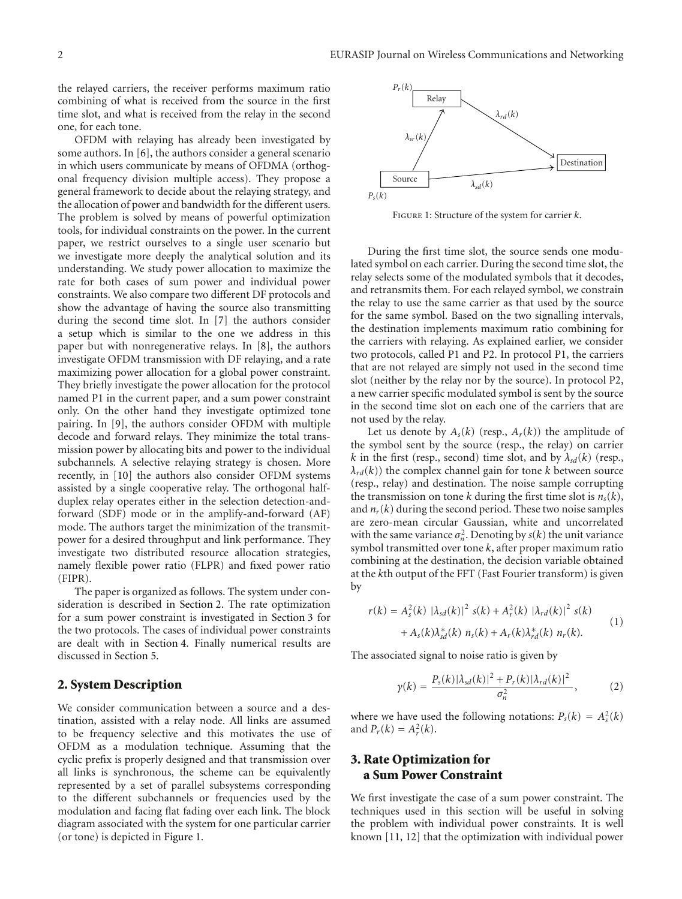the relayed carriers, the receiver performs maximum ratio combining of what is received from the source in the first time slot, and what is received from the relay in the second one, for each tone.

OFDM with relaying has already been investigated by some authors. In [6], the authors consider a general scenario in which users communicate by means of OFDMA (orthogonal frequency division multiple access). They propose a general framework to decide about the relaying strategy, and the allocation of power and bandwidth for the different users. The problem is solved by means of powerful optimization tools, for individual constraints on the power. In the current paper, we restrict ourselves to a single user scenario but we investigate more deeply the analytical solution and its understanding. We study power allocation to maximize the rate for both cases of sum power and individual power constraints. We also compare two different DF protocols and show the advantage of having the source also transmitting during the second time slot. In [7] the authors consider a setup which is similar to the one we address in this paper but with nonregenerative relays. In [8], the authors investigate OFDM transmission with DF relaying, and a rate maximizing power allocation for a global power constraint. They briefly investigate the power allocation for the protocol named P1 in the current paper, and a sum power constraint only. On the other hand they investigate optimized tone pairing. In [9], the authors consider OFDM with multiple decode and forward relays. They minimize the total transmission power by allocating bits and power to the individual subchannels. A selective relaying strategy is chosen. More recently, in [10] the authors also consider OFDM systems assisted by a single cooperative relay. The orthogonal halfduplex relay operates either in the selection detection-andforward (SDF) mode or in the amplify-and-forward (AF) mode. The authors target the minimization of the transmitpower for a desired throughput and link performance. They investigate two distributed resource allocation strategies, namely flexible power ratio (FLPR) and fixed power ratio (FIPR).

The paper is organized as follows. The system under consideration is described in Section 2. The rate optimization for a sum power constraint is investigated in Section 3 for the two protocols. The cases of individual power constraints are dealt with in Section 4. Finally numerical results are discussed in Section 5.

#### **2. System Description**

We consider communication between a source and a destination, assisted with a relay node. All links are assumed to be frequency selective and this motivates the use of OFDM as a modulation technique. Assuming that the cyclic prefix is properly designed and that transmission over all links is synchronous, the scheme can be equivalently represented by a set of parallel subsystems corresponding to the different subchannels or frequencies used by the modulation and facing flat fading over each link. The block diagram associated with the system for one particular carrier (or tone) is depicted in Figure 1.



Figure 1: Structure of the system for carrier *k*.

During the first time slot, the source sends one modulated symbol on each carrier. During the second time slot, the relay selects some of the modulated symbols that it decodes, and retransmits them. For each relayed symbol, we constrain the relay to use the same carrier as that used by the source for the same symbol. Based on the two signalling intervals, the destination implements maximum ratio combining for the carriers with relaying. As explained earlier, we consider two protocols, called P1 and P2. In protocol P1, the carriers that are not relayed are simply not used in the second time slot (neither by the relay nor by the source). In protocol P2, a new carrier specific modulated symbol is sent by the source in the second time slot on each one of the carriers that are not used by the relay.

Let us denote by  $A_s(k)$  (resp.,  $A_r(k)$ ) the amplitude of the symbol sent by the source (resp., the relay) on carrier *k* in the first (resp., second) time slot, and by  $\lambda_{sd}(k)$  (resp.,  $\lambda_{rd}(k)$ ) the complex channel gain for tone *k* between source (resp., relay) and destination. The noise sample corrupting the transmission on tone *k* during the first time slot is  $n_s(k)$ , and  $n_r(k)$  during the second period. These two noise samples are zero-mean circular Gaussian, white and uncorrelated with the same variance  $\sigma_n^2$ . Denoting by  $s(k)$  the unit variance symbol transmitted over tone *k*, after proper maximum ratio combining at the destination, the decision variable obtained at the *k*th output of the FFT (Fast Fourier transform) is given by

$$
r(k) = A_s^2(k) |\lambda_{sd}(k)|^2 s(k) + A_r^2(k) |\lambda_{rd}(k)|^2 s(k) + A_s(k) \lambda_{sd}^*(k) n_s(k) + A_r(k) \lambda_{rd}^*(k) n_r(k).
$$
 (1)

The associated signal to noise ratio is given by

$$
\gamma(k) = \frac{P_s(k)|\lambda_{sd}(k)|^2 + P_r(k)|\lambda_{rd}(k)|^2}{\sigma_n^2},\tag{2}
$$

where we have used the following notations:  $P_s(k) = A_s^2(k)$ and  $P_r(k) = A_r^2(k)$ .

# **3. Rate Optimization for a Sum Power Constraint**

We first investigate the case of a sum power constraint. The techniques used in this section will be useful in solving the problem with individual power constraints. It is well known [11, 12] that the optimization with individual power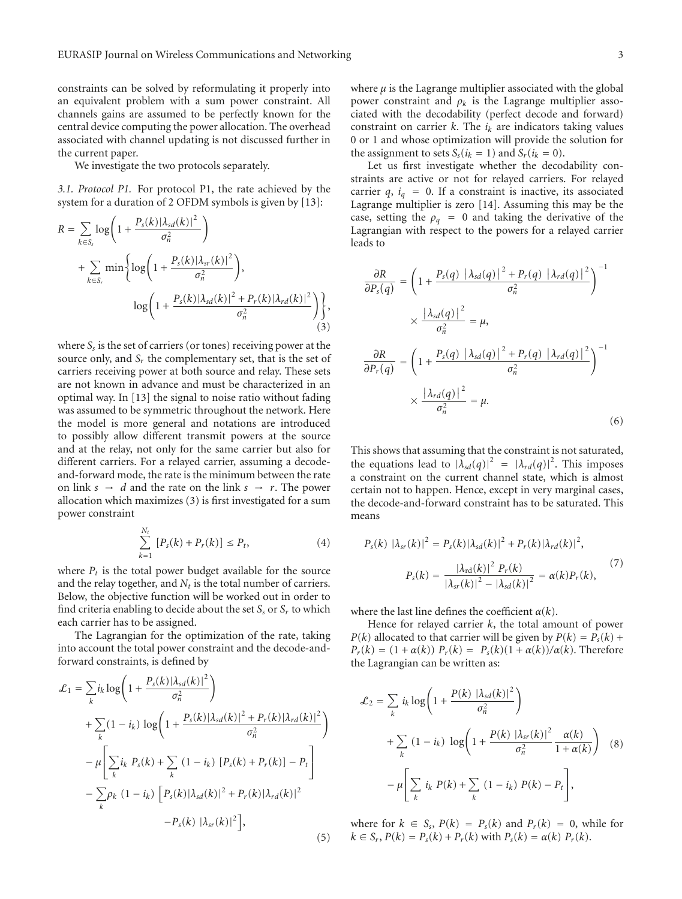constraints can be solved by reformulating it properly into an equivalent problem with a sum power constraint. All channels gains are assumed to be perfectly known for the central device computing the power allocation. The overhead associated with channel updating is not discussed further in the current paper.

We investigate the two protocols separately.

*3.1. Protocol P1.* For protocol P1, the rate achieved by the system for a duration of 2 OFDM symbols is given by [13]:

$$
R = \sum_{k \in S_s} \log \left( 1 + \frac{P_s(k) |\lambda_{sd}(k)|^2}{\sigma_n^2} \right)
$$
  
+ 
$$
\sum_{k \in S_r} \min \left\{ \log \left( 1 + \frac{P_s(k) |\lambda_{sr}(k)|^2}{\sigma_n^2} \right), \log \left( 1 + \frac{P_s(k) |\lambda_{sd}(k)|^2 + P_r(k) |\lambda_{rd}(k)|^2}{\sigma_n^2} \right) \right\},
$$
(3)

where *Ss* is the set of carriers (or tones) receiving power at the source only, and *Sr* the complementary set, that is the set of carriers receiving power at both source and relay. These sets are not known in advance and must be characterized in an optimal way. In [13] the signal to noise ratio without fading was assumed to be symmetric throughout the network. Here the model is more general and notations are introduced to possibly allow different transmit powers at the source and at the relay, not only for the same carrier but also for different carriers. For a relayed carrier, assuming a decodeand-forward mode, the rate is the minimum between the rate on link  $s \rightarrow d$  and the rate on the link  $s \rightarrow r$ . The power allocation which maximizes (3) is first investigated for a sum power constraint

$$
\sum_{k=1}^{N_t} [P_s(k) + P_r(k)] \le P_t,
$$
\n(4)

where  $P_t$  is the total power budget available for the source and the relay together, and  $N_t$  is the total number of carriers. Below, the objective function will be worked out in order to find criteria enabling to decide about the set  $S<sub>s</sub>$  or  $S<sub>r</sub>$  to which each carrier has to be assigned.

The Lagrangian for the optimization of the rate, taking into account the total power constraint and the decode-andforward constraints, is defined by

$$
\mathcal{L}_{1} = \sum_{k} i_{k} \log \left( 1 + \frac{P_{s}(k)|\lambda_{sd}(k)|^{2}}{\sigma_{n}^{2}} \right)
$$
  
+ 
$$
\sum_{k} (1 - i_{k}) \log \left( 1 + \frac{P_{s}(k)|\lambda_{sd}(k)|^{2} + P_{r}(k)|\lambda_{rd}(k)|^{2}}{\sigma_{n}^{2}} \right)
$$
  
- 
$$
\mu \left[ \sum_{k} i_{k} P_{s}(k) + \sum_{k} (1 - i_{k}) [P_{s}(k) + P_{r}(k)] - P_{t} \right]
$$
  
- 
$$
\sum_{k} \rho_{k} (1 - i_{k}) [P_{s}(k)|\lambda_{sd}(k)|^{2} + P_{r}(k)|\lambda_{rd}(k)|^{2}
$$
  
- 
$$
P_{s}(k) |\lambda_{sr}(k)|^{2} ], \tag{5}
$$

where  $\mu$  is the Lagrange multiplier associated with the global power constraint and  $\rho_k$  is the Lagrange multiplier associated with the decodability (perfect decode and forward) constraint on carrier  $k$ . The  $i_k$  are indicators taking values 0 or 1 and whose optimization will provide the solution for the assignment to sets  $S_s(i_k = 1)$  and  $S_r(i_k = 0)$ .

Let us first investigate whether the decodability constraints are active or not for relayed carriers. For relayed carrier  $q$ ,  $i_q = 0$ . If a constraint is inactive, its associated Lagrange multiplier is zero [14]. Assuming this may be the case, setting the  $\rho_q = 0$  and taking the derivative of the Lagrangian with respect to the powers for a relayed carrier leads to

$$
\frac{\partial R}{\partial P_s(q)} = \left(1 + \frac{P_s(q) \left| \lambda_{sd}(q) \right|^2 + P_r(q) \left| \lambda_{rd}(q) \right|^2}{\sigma_n^2} \right)^{-1}
$$

$$
\times \frac{\left| \lambda_{sd}(q) \right|^2}{\sigma_n^2} = \mu,
$$

$$
\frac{\partial R}{\partial P_r(q)} = \left(1 + \frac{P_s(q) \left| \lambda_{sd}(q) \right|^2 + P_r(q) \left| \lambda_{rd}(q) \right|^2}{\sigma_n^2} \right)^{-1}
$$

$$
\times \frac{\left| \lambda_{rd}(q) \right|^2}{\sigma_n^2} = \mu.
$$
(6)

This shows that assuming that the constraint is not saturated, the equations lead to  $|\lambda_{sd}(q)|^2 = |\lambda_{rd}(q)|^2$ . This imposes a constraint on the current channel state, which is almost certain not to happen. Hence, except in very marginal cases, the decode-and-forward constraint has to be saturated. This means

$$
P_{s}(k) \ |\lambda_{sr}(k)|^{2} = P_{s}(k) |\lambda_{sd}(k)|^{2} + P_{r}(k) |\lambda_{rd}(k)|^{2},
$$
  

$$
P_{s}(k) = \frac{|\lambda_{rd}(k)|^{2} P_{r}(k)}{|\lambda_{sr}(k)|^{2} - |\lambda_{sd}(k)|^{2}} = \alpha(k) P_{r}(k),
$$
 (7)

where the last line defines the coefficient *α*(*k*).

Hence for relayed carrier *k*, the total amount of power *P*(*k*) allocated to that carrier will be given by  $P(k) = P_s(k) + P_s(k)$  $P_r(k) = (1 + \alpha(k)) P_r(k) = P_s(k)(1 + \alpha(k))/\alpha(k)$ . Therefore the Lagrangian can be written as:

$$
\mathcal{L}_2 = \sum_k i_k \log \left( 1 + \frac{P(k) |\lambda_{sd}(k)|^2}{\sigma_n^2} \right)
$$
  
+ 
$$
\sum_k (1 - i_k) \log \left( 1 + \frac{P(k) |\lambda_{sr}(k)|^2}{\sigma_n^2} \frac{\alpha(k)}{1 + \alpha(k)} \right) (8)
$$
  
- 
$$
\mu \left[ \sum_k i_k P(k) + \sum_k (1 - i_k) P(k) - P_t \right],
$$

where for  $k \in S_s$ ,  $P(k) = P_s(k)$  and  $P_r(k) = 0$ , while for  $k \in S_r$ ,  $P(k) = P_s(k) + P_r(k)$  with  $P_s(k) = \alpha(k) P_r(k)$ .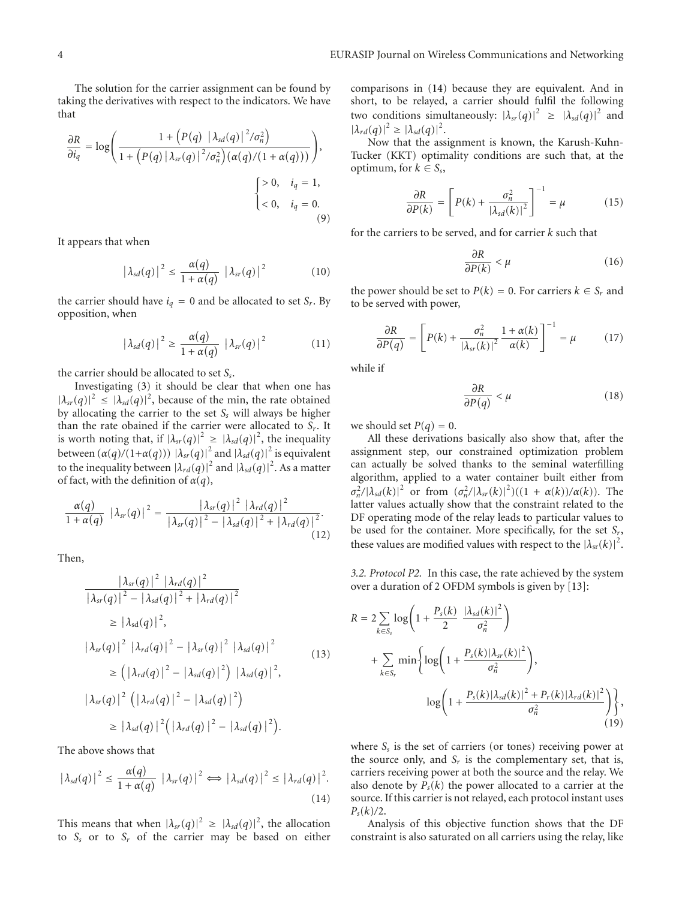The solution for the carrier assignment can be found by taking the derivatives with respect to the indicators. We have that

$$
\frac{\partial R}{\partial i_q} = \log \left( \frac{1 + \left( P(q) \left| \lambda_{sd}(q) \right|^2 / \sigma_n^2 \right)}{1 + \left( P(q) \left| \lambda_{sr}(q) \right|^2 / \sigma_n^2 \right) \left( \alpha(q) / \left( 1 + \alpha(q) \right) \right)} \right),\n\left\{\n\begin{aligned}\n > 0, \quad i_q = 1, \\
< 0, \quad i_q = 0.\n\end{aligned}\n\right.
$$
\n(9)

It appears that when

$$
|\lambda_{sd}(q)|^2 \le \frac{\alpha(q)}{1+\alpha(q)} |\lambda_{sr}(q)|^2 \qquad (10)
$$

the carrier should have  $i_q = 0$  and be allocated to set  $S_r$ . By opposition, when

$$
|\lambda_{sd}(q)|^2 \ge \frac{\alpha(q)}{1+\alpha(q)} |\lambda_{sr}(q)|^2 \qquad (11)
$$

the carrier should be allocated to set *Ss*.

Investigating (3) it should be clear that when one has  $|\lambda_{sr}(q)|^2 \leq |\lambda_{sd}(q)|^2$ , because of the min, the rate obtained by allocating the carrier to the set *Ss* will always be higher than the rate obained if the carrier were allocated to *Sr*. It is worth noting that, if  $|\lambda_{sr}(q)|^2 \geq |\lambda_{sd}(q)|^2$ , the inequality between  $(\alpha(q)/(1+\alpha(q))) |\lambda_{sr}(q)|^2$  and  $|\lambda_{sd}(q)|^2$  is equivalent to the inequality between  $\left|\lambda_{rd}(q)\right|^2$  and  $\left|\lambda_{sd}(q)\right|^2$ . As a matter of fact, with the definition of *α*(*q*),

$$
\frac{\alpha(q)}{1+\alpha(q)}\left|\lambda_{sr}(q)\right|^2=\frac{\left|\lambda_{sr}(q)\right|^2\left|\lambda_{rd}(q)\right|^2}{\left|\lambda_{sr}(q)\right|^2-\left|\lambda_{sd}(q)\right|^2+\left|\lambda_{rd}(q)\right|^2}.
$$
\n(12)

Then,

$$
\frac{|\lambda_{sr}(q)|^2 |\lambda_{rd}(q)|^2}{|\lambda_{sr}(q)|^2 - |\lambda_{sd}(q)|^2 + |\lambda_{rd}(q)|^2}
$$
  
\n
$$
\geq |\lambda_{sd}(q)|^2,
$$
  
\n
$$
|\lambda_{sr}(q)|^2 |\lambda_{rd}(q)|^2 - |\lambda_{sr}(q)|^2 |\lambda_{sd}(q)|^2
$$
  
\n
$$
\geq (|\lambda_{rd}(q)|^2 - |\lambda_{sd}(q)|^2) |\lambda_{sd}(q)|^2,
$$
  
\n
$$
|\lambda_{sr}(q)|^2 (|\lambda_{rd}(q)|^2 - |\lambda_{sd}(q)|^2)
$$
  
\n
$$
\geq |\lambda_{sd}(q)|^2 (|\lambda_{rd}(q)|^2 - |\lambda_{sd}(q)|^2).
$$
 (13)

The above shows that

$$
|\lambda_{sd}(q)|^2 \leq \frac{\alpha(q)}{1+\alpha(q)} |\lambda_{sr}(q)|^2 \Longleftrightarrow |\lambda_{sd}(q)|^2 \leq |\lambda_{rd}(q)|^2.
$$
\n(14)

This means that when  $|\lambda_{sr}(q)|^2 \geq |\lambda_{sd}(q)|^2$ , the allocation to *Ss* or to *Sr* of the carrier may be based on either

comparisons in (14) because they are equivalent. And in short, to be relayed, a carrier should fulfil the following two conditions simultaneously:  $|\lambda_{sr}(q)|^2 \geq |\lambda_{sd}(q)|^2$  and  $|\lambda_{rd}(q)|^2 \geq |\lambda_{sd}(q)|^2$ .

Now that the assignment is known, the Karush-Kuhn-Tucker (KKT) optimality conditions are such that, at the optimum, for  $k \in S_s$ ,

$$
\frac{\partial R}{\partial P(k)} = \left[ P(k) + \frac{\sigma_n^2}{|\lambda_{sd}(k)|^2} \right]^{-1} = \mu \tag{15}
$$

for the carriers to be served, and for carrier *k* such that

$$
\frac{\partial R}{\partial P(k)} < \mu \tag{16}
$$

the power should be set to  $P(k) = 0$ . For carriers  $k \in S_r$  and to be served with power,

$$
\frac{\partial R}{\partial P(q)} = \left[ P(k) + \frac{\sigma_n^2}{|\lambda_{sr}(k)|^2} \frac{1 + \alpha(k)}{\alpha(k)} \right]^{-1} = \mu \tag{17}
$$

while if

$$
\frac{\partial R}{\partial P(q)} < \mu \tag{18}
$$

we should set  $P(q) = 0$ .

All these derivations basically also show that, after the assignment step, our constrained optimization problem can actually be solved thanks to the seminal waterfilling algorithm, applied to a water container built either from *σ*<sub>*n*</sub> /|λ<sub>sd</sub>(*k*)|<sup>2</sup> or from  $(σ_n^2/|λ_{sr}(k)|^2)((1 + α(k))/α(k))$ . The latter values actually show that the constraint related to the DF operating mode of the relay leads to particular values to be used for the container. More specifically, for the set *Sr*, these values are modified values with respect to the  $|\lambda_{sr}(k)|^2$ .

*3.2. Protocol P2.* In this case, the rate achieved by the system over a duration of 2 OFDM symbols is given by [13]:

$$
R = 2 \sum_{k \in S_s} \log \left( 1 + \frac{P_s(k)}{2} \frac{|\lambda_{sd}(k)|^2}{\sigma_n^2} \right)
$$
  
+ 
$$
\sum_{k \in S_r} \min \left\{ \log \left( 1 + \frac{P_s(k)|\lambda_{sr}(k)|^2}{\sigma_n^2} \right), \log \left( 1 + \frac{P_s(k)|\lambda_{sd}(k)|^2 + P_r(k)|\lambda_{rd}(k)|^2}{\sigma_n^2} \right) \right\},
$$
(19)

where  $S_s$  is the set of carriers (or tones) receiving power at the source only, and  $S_r$  is the complementary set, that is, carriers receiving power at both the source and the relay. We also denote by  $P_s(k)$  the power allocated to a carrier at the source. If this carrier is not relayed, each protocol instant uses *Ps*(*k*)*/*2.

Analysis of this objective function shows that the DF constraint is also saturated on all carriers using the relay, like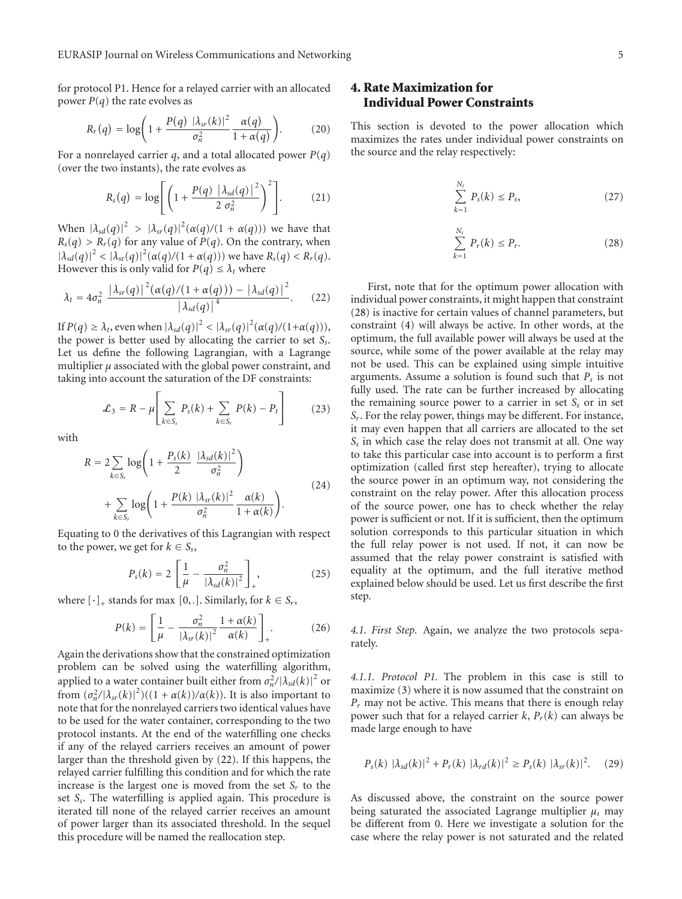for protocol P1. Hence for a relayed carrier with an allocated power  $P(q)$  the rate evolves as

$$
R_r(q) = \log\bigg(1 + \frac{P(q) \left|\lambda_{sr}(k)\right|^2}{\sigma_n^2} \frac{\alpha(q)}{1 + \alpha(q)}\bigg). \tag{20}
$$

For a nonrelayed carrier *q*, and a total allocated power  $P(q)$ (over the two instants), the rate evolves as

$$
R_{s}(q) = \log \left[ \left( 1 + \frac{P(q) \left| \lambda_{sd}(q) \right|^{2}}{2 \sigma_{n}^{2}} \right)^{2} \right]. \tag{21}
$$

When  $|\lambda_{sd}(q)|^2 > |\lambda_{sr}(q)|^2(\alpha(q)/(1+\alpha(q)))$  we have that  $R_s(q) > R_r(q)$  for any value of  $P(q)$ . On the contrary, when  $|\lambda_{sd}(q)|^2 < |\lambda_{sr}(q)|^2(\alpha(q)/(1+\alpha(q)))$  we have  $R_s(q) < R_r(q)$ . However this is only valid for  $P(q) \leq \lambda_t$  where

$$
\lambda_t = 4\sigma_n^2 \frac{|\lambda_{sr}(q)|^2 (\alpha(q)/(1+\alpha(q))) - |\lambda_{sd}(q)|^2}{|\lambda_{sd}(q)|^4}.
$$
 (22)

If  $P(q) \geq \lambda_t$ , even when  $|\lambda_{sd}(q)|^2 < |\lambda_{sr}(q)|^2 (\alpha(q)/(1+\alpha(q))),$ the power is better used by allocating the carrier to set *Ss*. Let us define the following Lagrangian, with a Lagrange multiplier  $\mu$  associated with the global power constraint, and taking into account the saturation of the DF constraints:

$$
\mathcal{L}_3 = R - \mu \left[ \sum_{k \in S_s} P_s(k) + \sum_{k \in S_r} P(k) - P_t \right] \tag{23}
$$

with

$$
R = 2 \sum_{k \in S_s} \log \left( 1 + \frac{P_s(k)}{2} \frac{|\lambda_{sd}(k)|^2}{\sigma_n^2} \right)
$$
  
+ 
$$
\sum_{k \in S_r} \log \left( 1 + \frac{P(k) |\lambda_{sr}(k)|^2}{\sigma_n^2} \frac{\alpha(k)}{1 + \alpha(k)} \right).
$$
 (24)

Equating to 0 the derivatives of this Lagrangian with respect to the power, we get for  $k \in S_s$ ,

$$
P_s(k) = 2\left[\frac{1}{\mu} - \frac{\sigma_n^2}{|\lambda_{sd}(k)|^2}\right]_*,\tag{25}
$$

where  $[\cdot]_+$  stands for max  $[0, .]$ . Similarly, for  $k \in S_r$ ,

$$
P(k) = \left[\frac{1}{\mu} - \frac{\sigma_n^2}{|\lambda_{sr}(k)|^2} \frac{1 + \alpha(k)}{\alpha(k)}\right]_+.
$$
 (26)

Again the derivations show that the constrained optimization problem can be solved using the waterfilling algorithm, applied to a water container built either from  $\sigma_n^2/|\lambda_{sd}(k)|^2$  or from  $(\sigma_n^2/|\lambda_{sr}(k)|^2)((1 + \alpha(k))/\alpha(k))$ . It is also important to note that for the nonrelayed carriers two identical values have to be used for the water container, corresponding to the two protocol instants. At the end of the waterfilling one checks if any of the relayed carriers receives an amount of power larger than the threshold given by (22). If this happens, the relayed carrier fulfilling this condition and for which the rate increase is the largest one is moved from the set  $S_r$  to the set *Ss*. The waterfilling is applied again. This procedure is iterated till none of the relayed carrier receives an amount of power larger than its associated threshold. In the sequel this procedure will be named the reallocation step.

# **4. Rate Maximization for Individual Power Constraints**

This section is devoted to the power allocation which maximizes the rates under individual power constraints on the source and the relay respectively:

$$
\sum_{k=1}^{N_t} P_s(k) \le P_s,\tag{27}
$$

$$
\sum_{k=1}^{N_t} P_r(k) \le P_r. \tag{28}
$$

First, note that for the optimum power allocation with individual power constraints, it might happen that constraint (28) is inactive for certain values of channel parameters, but constraint (4) will always be active. In other words, at the optimum, the full available power will always be used at the source, while some of the power available at the relay may not be used. This can be explained using simple intuitive arguments. Assume a solution is found such that  $P_s$  is not fully used. The rate can be further increased by allocating the remaining source power to a carrier in set  $S<sub>s</sub>$  or in set *Sr*. For the relay power, things may be different. For instance, it may even happen that all carriers are allocated to the set *Ss* in which case the relay does not transmit at all. One way to take this particular case into account is to perform a first optimization (called first step hereafter), trying to allocate the source power in an optimum way, not considering the constraint on the relay power. After this allocation process of the source power, one has to check whether the relay power is sufficient or not. If it is sufficient, then the optimum solution corresponds to this particular situation in which the full relay power is not used. If not, it can now be assumed that the relay power constraint is satisfied with equality at the optimum, and the full iterative method explained below should be used. Let us first describe the first step.

*4.1. First Step.* Again, we analyze the two protocols separately.

*4.1.1. Protocol P1.* The problem in this case is still to maximize (3) where it is now assumed that the constraint on *Pr* may not be active. This means that there is enough relay power such that for a relayed carrier  $k$ ,  $P_r(k)$  can always be made large enough to have

$$
P_{s}(k) |\lambda_{sd}(k)|^{2} + P_{r}(k) |\lambda_{rd}(k)|^{2} \ge P_{s}(k) |\lambda_{sr}(k)|^{2}. \quad (29)
$$

As discussed above, the constraint on the source power being saturated the associated Lagrange multiplier *μs* may be different from 0. Here we investigate a solution for the case where the relay power is not saturated and the related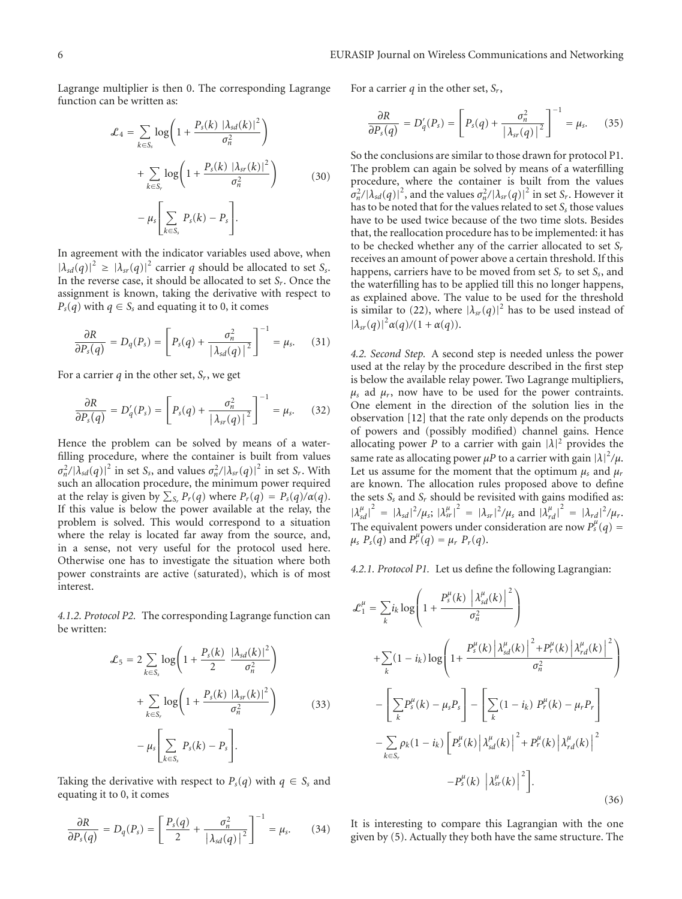Lagrange multiplier is then 0. The corresponding Lagrange function can be written as:

$$
\mathcal{L}_4 = \sum_{k \in S_s} \log \left( 1 + \frac{P_s(k) \left| \lambda_{sd}(k) \right|^2}{\sigma_n^2} \right)
$$

$$
+ \sum_{k \in S_r} \log \left( 1 + \frac{P_s(k) \left| \lambda_{sr}(k) \right|^2}{\sigma_n^2} \right)
$$

$$
- \mu_s \left[ \sum_{k \in S_s} P_s(k) - P_s \right].
$$
(30)

In agreement with the indicator variables used above, when  $|\lambda_{sd}(q)|^2 \ge |\lambda_{sr}(q)|^2$  carrier *q* should be allocated to set *S<sub>s</sub>*. In the reverse case, it should be allocated to set *Sr*. Once the assignment is known, taking the derivative with respect to  $P_s(q)$  with  $q \in S_s$  and equating it to 0, it comes

$$
\frac{\partial R}{\partial P_s(q)} = D_q(P_s) = \left[ P_s(q) + \frac{\sigma_n^2}{|\lambda_{sd}(q)|^2} \right]^{-1} = \mu_s. \tag{31}
$$

For a carrier  $q$  in the other set,  $S_r$ , we get

$$
\frac{\partial R}{\partial P_s(q)} = D'_q(P_s) = \left[ P_s(q) + \frac{\sigma_n^2}{\left| \lambda_{sr}(q) \right|^2} \right]^{-1} = \mu_s. \tag{32}
$$

Hence the problem can be solved by means of a waterfilling procedure, where the container is built from values  $\sigma_n^2 / |\lambda_{sd}(q)|^2$  in set *S<sub>s</sub>*, and values  $\sigma_n^2 / |\lambda_{sr}(q)|^2$  in set *S<sub>r</sub>*. With such an allocation procedure, the minimum power required at the relay is given by  $\sum_{S_r} P_r(q)$  where  $P_r(q) = P_s(q)/\alpha(q)$ . If this value is below the power available at the relay, the problem is solved. This would correspond to a situation where the relay is located far away from the source, and, in a sense, not very useful for the protocol used here. Otherwise one has to investigate the situation where both power constraints are active (saturated), which is of most interest.

*4.1.2. Protocol P2.* The corresponding Lagrange function can be written:

$$
\mathcal{L}_5 = 2 \sum_{k \in S_s} \log \left( 1 + \frac{P_s(k)}{2} \frac{|\lambda_{sd}(k)|^2}{\sigma_n^2} \right)
$$
  
+ 
$$
\sum_{k \in S_r} \log \left( 1 + \frac{P_s(k) |\lambda_{sr}(k)|^2}{\sigma_n^2} \right)
$$
(33)  
- 
$$
\mu_s \left[ \sum_{k \in S_s} P_s(k) - P_s \right].
$$

Taking the derivative with respect to  $P_s(q)$  with  $q \in S_s$  and equating it to 0, it comes

$$
\frac{\partial R}{\partial P_s(q)} = D_q(P_s) = \left[\frac{P_s(q)}{2} + \frac{\sigma_n^2}{|\lambda_{sd}(q)|^2}\right]^{-1} = \mu_s. \tag{34}
$$

For a carrier *q* in the other set, *Sr*,

$$
\frac{\partial R}{\partial P_s(q)} = D'_q(P_s) = \left[ P_s(q) + \frac{\sigma_n^2}{\left| \lambda_{sr}(q) \right|^2} \right]^{-1} = \mu_s. \tag{35}
$$

So the conclusions are similar to those drawn for protocol P1. The problem can again be solved by means of a waterfilling procedure, where the container is built from the values  $\sigma_n^2/|\lambda_{sd}(q)|^2$ , and the values  $\sigma_n^2/|\lambda_{sr}(q)|^2$  in set *S<sub>r</sub>*. However it has to be noted that for the values related to set  $S_s$  those values have to be used twice because of the two time slots. Besides that, the reallocation procedure has to be implemented: it has to be checked whether any of the carrier allocated to set *Sr* receives an amount of power above a certain threshold. If this happens, carriers have to be moved from set  $S_r$  to set  $S_s$ , and the waterfilling has to be applied till this no longer happens, as explained above. The value to be used for the threshold is similar to (22), where  $|\lambda_{sr}(q)|^2$  has to be used instead of  $|\lambda_{sr}(q)|^2 \alpha(q)/(1+\alpha(q)).$ 

*4.2. Second Step.* A second step is needed unless the power used at the relay by the procedure described in the first step is below the available relay power. Two Lagrange multipliers,  $\mu_s$  ad  $\mu_r$ , now have to be used for the power contraints. One element in the direction of the solution lies in the observation [12] that the rate only depends on the products of powers and (possibly modified) channel gains. Hence allocating power *P* to a carrier with gain  $|\lambda|^2$  provides the same rate as allocating power  $\mu$ P to a carrier with gain  $|\lambda|^2/\mu$ . Let us assume for the moment that the optimum  $\mu_s$  and  $\mu_r$ are known. The allocation rules proposed above to define the sets *Ss* and *Sr* should be revisited with gains modified as:  $|{\lambda}^{\mu}_{sd}|^2 = |{\lambda}_{sd}|^2 / {\mu}_s; |{\lambda}^{\mu}_{sr}|^2 = |{\lambda}_{sr}|^2 / {\mu}_s \text{ and } |{\lambda}^{\mu}_{rd}|^2 = |{\lambda}_{rd}|^2 / {\mu}_r.$ The equivalent powers under consideration are now  $P_s^{\mu}(q)$  =  $\mu_s$   $P_s(q)$  and  $P_r^{\mu^t}(q) = \mu_r P_r(q)$ .

*4.2.1. Protocol P1.* Let us define the following Lagrangian:

$$
\mathcal{L}_{1}^{\mu} = \sum_{k} i_{k} \log \left( 1 + \frac{P_{s}^{\mu}(k) \left| \lambda_{sd}^{\mu}(k) \right|^{2}}{\sigma_{n}^{2}} \right)
$$
  
+ 
$$
\sum_{k} (1 - i_{k}) \log \left( 1 + \frac{P_{s}^{\mu}(k) \left| \lambda_{sd}^{\mu}(k) \right|^{2} + P_{r}^{\mu}(k) \left| \lambda_{rd}^{\mu}(k) \right|^{2}}{\sigma_{n}^{2}} \right)
$$
  
- 
$$
\left[ \sum_{k} P_{s}^{\mu}(k) - \mu_{s} P_{s} \right] - \left[ \sum_{k} (1 - i_{k}) P_{r}^{\mu}(k) - \mu_{r} P_{r} \right]
$$
  
- 
$$
\sum_{k \in S_{r}} \rho_{k} (1 - i_{k}) \left[ P_{s}^{\mu}(k) \left| \lambda_{sd}^{\mu}(k) \right|^{2} + P_{r}^{\mu}(k) \left| \lambda_{rd}^{\mu}(k) \right|^{2} - P_{s}^{\mu}(k) \left| \lambda_{sr}^{\mu}(k) \right|^{2} \right].
$$
 (36)

It is interesting to compare this Lagrangian with the one given by (5). Actually they both have the same structure. The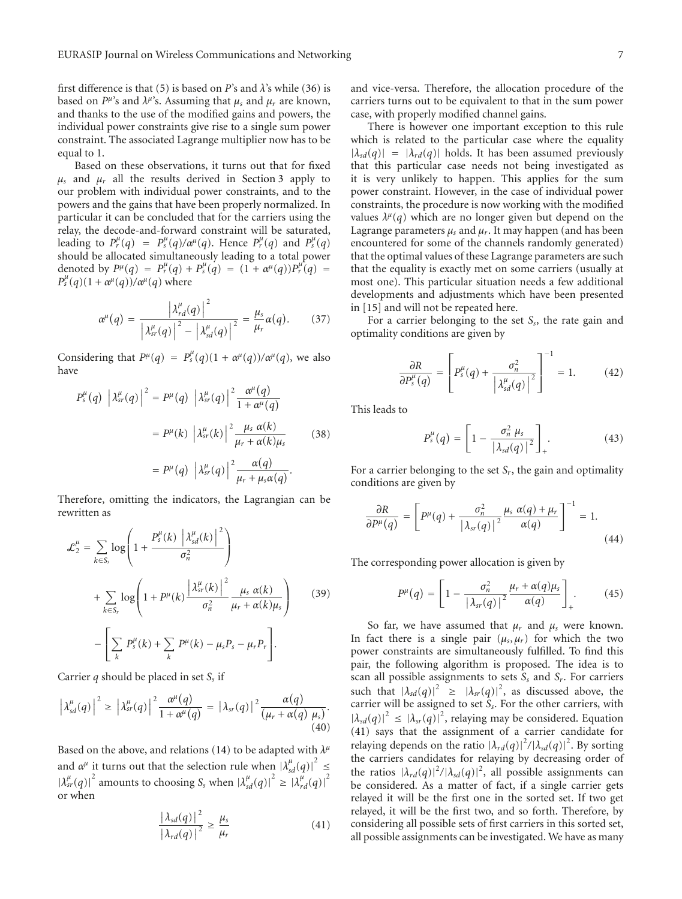first difference is that (5) is based on *P*'s and  $\lambda$ 's while (36) is based on  $P^{\mu}$ 's and  $\lambda^{\mu}$ 's. Assuming that  $\mu_s$  and  $\mu_r$  are known, and thanks to the use of the modified gains and powers, the individual power constraints give rise to a single sum power constraint. The associated Lagrange multiplier now has to be equal to 1.

Based on these observations, it turns out that for fixed  $\mu_s$  and  $\mu_r$  all the results derived in Section 3 apply to our problem with individual power constraints, and to the powers and the gains that have been properly normalized. In particular it can be concluded that for the carriers using the relay, the decode-and-forward constraint will be saturated, leading to  $P_r^{\mu}(q) = P_s^{\mu}(q)/\alpha^{\mu}(q)$ . Hence  $P_r^{\mu}(q)$  and  $P_s^{\mu}(q)$ should be allocated simultaneously leading to a total power denoted by  $P^{\mu}(q) = P^{\mu}_{r}(q) + P^{\mu}_{s}(q) = (1 + \alpha^{\mu}(q))P^{\mu}_{r}(q) =$  $P^{\mu}_{s}(q)(1+\alpha^{\mu}(q))/\alpha^{\mu}(q)$  where

$$
\alpha^{\mu}(q) = \frac{\left|\lambda^{\mu}_{rd}(q)\right|^2}{\left|\lambda^{\mu}_{sr}(q)\right|^2 - \left|\lambda^{\mu}_{sd}(q)\right|^2} = \frac{\mu_s}{\mu_r} \alpha(q). \qquad (37)
$$

Considering that  $P^{\mu}(q) = P_s^{\mu}(q)(1 + \alpha^{\mu}(q))/\alpha^{\mu}(q)$ , we also have

$$
P_s^{\mu}(q) \left| \lambda_{sr}^{\mu}(q) \right|^2 = P^{\mu}(q) \left| \lambda_{sr}^{\mu}(q) \right|^2 \frac{\alpha^{\mu}(q)}{1 + \alpha^{\mu}(q)}
$$

$$
= P^{\mu}(k) \left| \lambda_{sr}^{\mu}(k) \right|^2 \frac{\mu_s \alpha(k)}{\mu_r + \alpha(k)\mu_s}
$$
(38)
$$
= P^{\mu}(q) \left| \lambda_{sr}^{\mu}(q) \right|^2 \frac{\alpha(q)}{\mu_r + \mu_s \alpha(q)}.
$$

Therefore, omitting the indicators, the Lagrangian can be rewritten as

$$
\mathcal{L}_2^{\mu} = \sum_{k \in S_s} \log \left( 1 + \frac{P_s^{\mu}(k) \left| \lambda_{sd}^{\mu}(k) \right|^2}{\sigma_n^2} \right)
$$
  
+ 
$$
\sum_{k \in S_r} \log \left( 1 + P^{\mu}(k) \frac{\left| \lambda_{sr}^{\mu}(k) \right|^2}{\sigma_n^2} \frac{\mu_s \alpha(k)}{\mu_r + \alpha(k)\mu_s} \right) \qquad (39)
$$
  
- 
$$
\left[ \sum_k P_s^{\mu}(k) + \sum_k P^{\mu}(k) - \mu_s P_s - \mu_r P_r \right].
$$

Carrier *q* should be placed in set *S*, if

$$
\left|\lambda_{sd}^{\mu}(q)\right|^2 \geq \left|\lambda_{sr}^{\mu}(q)\right|^2 \frac{\alpha^{\mu}(q)}{1+\alpha^{\mu}(q)} = \left|\lambda_{sr}(q)\right|^2 \frac{\alpha(q)}{(\mu_r+\alpha(q)\mu_s)}.
$$
\n(40)

Based on the above, and relations (14) to be adapted with *λμ* and  $\alpha^{\mu}$  it turns out that the selection rule when  $|\lambda^{\mu}_{sd}(q)|^2 \leq$  $|\lambda_{sr}^{\mu}(q)|^2$  amounts to choosing *S<sub>s</sub>* when  $|\lambda_{sd}^{\mu}(q)|^2 \ge |\lambda_{rd}^{\mu}(q)|^2$ or when

$$
\frac{|\lambda_{sd}(q)|^2}{|\lambda_{rd}(q)|^2} \ge \frac{\mu_s}{\mu_r} \tag{41}
$$

and vice-versa. Therefore, the allocation procedure of the carriers turns out to be equivalent to that in the sum power case, with properly modified channel gains.

There is however one important exception to this rule which is related to the particular case where the equality  $|\lambda_{sd}(q)| = |\lambda_{rd}(q)|$  holds. It has been assumed previously that this particular case needs not being investigated as it is very unlikely to happen. This applies for the sum power constraint. However, in the case of individual power constraints, the procedure is now working with the modified values  $\lambda^{\mu}(q)$  which are no longer given but depend on the Lagrange parameters  $\mu_s$  and  $\mu_r$ . It may happen (and has been encountered for some of the channels randomly generated) that the optimal values of these Lagrange parameters are such that the equality is exactly met on some carriers (usually at most one). This particular situation needs a few additional developments and adjustments which have been presented in [15] and will not be repeated here.

For a carrier belonging to the set *Ss*, the rate gain and optimality conditions are given by

$$
\frac{\partial R}{\partial P_s^{\mu}(q)} = \left[ P_s^{\mu}(q) + \frac{\sigma_n^2}{\left| \lambda_{sd}^{\mu}(q) \right|^2} \right]^{-1} = 1. \quad (42)
$$

This leads to

$$
P_s^{\mu}(q) = \left[1 - \frac{\sigma_n^2 \mu_s}{|\lambda_{sd}(q)|^2}\right]_+.
$$
 (43)

For a carrier belonging to the set *Sr*, the gain and optimality conditions are given by

$$
\frac{\partial R}{\partial P^{\mu}(q)} = \left[ P^{\mu}(q) + \frac{\sigma_n^2}{|\lambda_{sr}(q)|^2} \frac{\mu_s \alpha(q) + \mu_r}{\alpha(q)} \right]^{-1} = 1.
$$
\n(44)

The corresponding power allocation is given by

$$
P^{\mu}(q) = \left[1 - \frac{\sigma_n^2}{|\lambda_{sr}(q)|^2} \frac{\mu_r + \alpha(q)\mu_s}{\alpha(q)}\right]_+.
$$
 (45)

So far, we have assumed that  $\mu_r$  and  $\mu_s$  were known. In fact there is a single pair  $(\mu_s, \mu_r)$  for which the two power constraints are simultaneously fulfilled. To find this pair, the following algorithm is proposed. The idea is to scan all possible assignments to sets *Ss* and *Sr*. For carriers such that  $|\lambda_{sd}(q)|^2 \geq |\lambda_{sr}(q)|^2$ , as discussed above, the carrier will be assigned to set *Ss*. For the other carriers, with  $|\lambda_{sd}(q)|^2 \leq |\lambda_{sr}(q)|^2$ , relaying may be considered. Equation (41) says that the assignment of a carrier candidate for relaying depends on the ratio  $|\lambda_{rd}(q)|^2/|\lambda_{sd}(q)|^2$ . By sorting the carriers candidates for relaying by decreasing order of the ratios  $|\lambda_{rd}(q)|^2/|\lambda_{sd}(q)|^2$ , all possible assignments can be considered. As a matter of fact, if a single carrier gets relayed it will be the first one in the sorted set. If two get relayed, it will be the first two, and so forth. Therefore, by considering all possible sets of first carriers in this sorted set, all possible assignments can be investigated. We have as many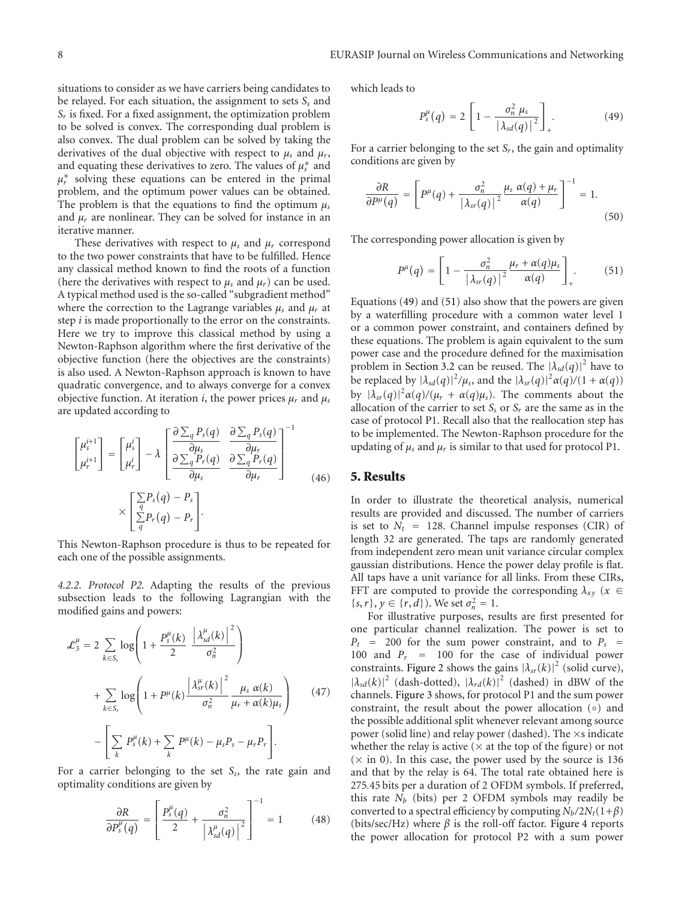situations to consider as we have carriers being candidates to be relayed. For each situation, the assignment to sets S<sub>s</sub> and *Sr* is fixed. For a fixed assignment, the optimization problem to be solved is convex. The corresponding dual problem is also convex. The dual problem can be solved by taking the derivatives of the dual objective with respect to  $\mu_s$  and  $\mu_r$ , and equating these derivatives to zero. The values of  $\mu_s^*$  and  $\mu_r^*$  solving these equations can be entered in the primal problem, and the optimum power values can be obtained. The problem is that the equations to find the optimum *μs* and  $\mu_r$  are nonlinear. They can be solved for instance in an iterative manner.

These derivatives with respect to *μs* and *μr* correspond to the two power constraints that have to be fulfilled. Hence any classical method known to find the roots of a function (here the derivatives with respect to  $\mu_s$  and  $\mu_r$ ) can be used. A typical method used is the so-called "subgradient method" where the correction to the Lagrange variables *μs* and *μr* at step *i* is made proportionally to the error on the constraints. Here we try to improve this classical method by using a Newton-Raphson algorithm where the first derivative of the objective function (here the objectives are the constraints) is also used. A Newton-Raphson approach is known to have quadratic convergence, and to always converge for a convex objective function. At iteration *i*, the power prices  $\mu_r$  and  $\mu_s$ are updated according to

$$
\begin{bmatrix} \mu_s^{i+1} \\ \mu_r^{i+1} \end{bmatrix} = \begin{bmatrix} \mu_s^i \\ \mu_r^i \end{bmatrix} - \lambda \begin{bmatrix} \frac{\partial \sum_q P_s(q)}{\partial \mu_s} & \frac{\partial \sum_q P_s(q)}{\partial \mu_r} \\ \frac{\partial \sum_q P_r(q)}{\partial \mu_s} & \frac{\partial \sum_q P_r(q)}{\partial \mu_r} \end{bmatrix}^{-1}
$$
\n
$$
\times \begin{bmatrix} \sum_q P_s(q) - P_s \\ \sum_q P_r(q) - P_r \end{bmatrix}.
$$
\n(46)

This Newton-Raphson procedure is thus to be repeated for each one of the possible assignments.

*4.2.2. Protocol P2.* Adapting the results of the previous subsection leads to the following Lagrangian with the modified gains and powers:

$$
\mathcal{L}_3^{\mu} = 2 \sum_{k \in S_s} \log \left( 1 + \frac{P_s^{\mu}(k)}{2} \left| \frac{\lambda_{sd}^{\mu}(k)}{\sigma_n^2} \right|^2 \right)
$$
  
+ 
$$
\sum_{k \in S_r} \log \left( 1 + P^{\mu}(k) \frac{\left| \lambda_{sr}^{\mu}(k) \right|^2}{\sigma_n^2} \frac{\mu_s \alpha(k)}{\mu_r + \alpha(k)\mu_s} \right) \qquad (47)
$$

$$
- \left[ \sum_k P_s^{\mu}(k) + \sum_k P^{\mu}(k) - \mu_s P_s - \mu_r P_r \right].
$$

For a carrier belonging to the set *Ss*, the rate gain and optimality conditions are given by

$$
\frac{\partial R}{\partial P_s^{\mu}(q)} = \left[ \frac{P_s^{\mu}(q)}{2} + \frac{\sigma_n^2}{\left| \lambda_{sd}^{\mu}(q) \right|^2} \right]^{-1} = 1 \quad (48)
$$

which leads to

$$
P_s^{\mu}(q) = 2\left[1 - \frac{\sigma_n^2 \mu_s}{\left|\lambda_{sd}(q)\right|^2}\right]_+.
$$
 (49)

For a carrier belonging to the set  $S_r$ , the gain and optimality conditions are given by

$$
\frac{\partial R}{\partial P^{\mu}(q)} = \left[ P^{\mu}(q) + \frac{\sigma_n^2}{|\lambda_{sr}(q)|^2} \frac{\mu_s \alpha(q) + \mu_r}{\alpha(q)} \right]^{-1} = 1.
$$
\n(50)

The corresponding power allocation is given by

$$
P^{\mu}(q) = \left[1 - \frac{\sigma_n^2}{\left|\lambda_{sr}(q)\right|^2} \frac{\mu_r + \alpha(q)\mu_s}{\alpha(q)}\right]_+.
$$
 (51)

Equations (49) and (51) also show that the powers are given by a waterfilling procedure with a common water level 1 or a common power constraint, and containers defined by these equations. The problem is again equivalent to the sum power case and the procedure defined for the maximisation problem in Section 3.2 can be reused. The  $|\lambda_{sd}(q)|^2$  have to be replaced by  $|\lambda_{sd}(q)|^2/\mu_s$ , and the  $|\lambda_{sr}(q)|^2 \alpha(q)/(1 + \alpha(q))$ by  $|\lambda_{sr}(q)|^2 \alpha(q) / (\mu_r + \alpha(q)\mu_s)$ . The comments about the allocation of the carrier to set  $S<sub>s</sub>$  or  $S<sub>r</sub>$  are the same as in the case of protocol P1. Recall also that the reallocation step has to be implemented. The Newton-Raphson procedure for the updating of  $\mu_s$  and  $\mu_r$  is similar to that used for protocol P1.

#### **5. Results**

In order to illustrate the theoretical analysis, numerical results are provided and discussed. The number of carriers is set to  $N_t$  = 128. Channel impulse responses (CIR) of length 32 are generated. The taps are randomly generated from independent zero mean unit variance circular complex gaussian distributions. Hence the power delay profile is flat. All taps have a unit variance for all links. From these CIRs, FFT are computed to provide the corresponding  $\lambda_{xy}$  ( $x \in$  $\{s, r\}, y \in \{r, d\}$ ). We set  $\sigma_n^2 = 1$ .

For illustrative purposes, results are first presented for one particular channel realization. The power is set to  $P_t$  = 200 for the sum power constraint, and to  $P_s$  = 100 and  $P_r$  = 100 for the case of individual power constraints. Figure 2 shows the gains  $|\lambda_{sr}(k)|^2$  (solid curve),  $|\lambda_{sd}(k)|^2$  (dash-dotted),  $|\lambda_{rd}(k)|^2$  (dashed) in dBW of the channels. Figure 3 shows, for protocol P1 and the sum power constraint, the result about the power allocation (◦) and the possible additional split whenever relevant among source power (solid line) and relay power (dashed). The  $\times$ s indicate whether the relay is active ( $\times$  at the top of the figure) or not  $(\times$  in 0). In this case, the power used by the source is 136 and that by the relay is 64. The total rate obtained here is 275*.*45 bits per a duration of 2 OFDM symbols. If preferred, this rate *Nb* (bits) per 2 OFDM symbols may readily be converted to a spectral efficiency by computing  $N_b/2N_t(1+\beta)$ (bits/sec/Hz) where  $\beta$  is the roll-off factor. Figure 4 reports the power allocation for protocol P2 with a sum power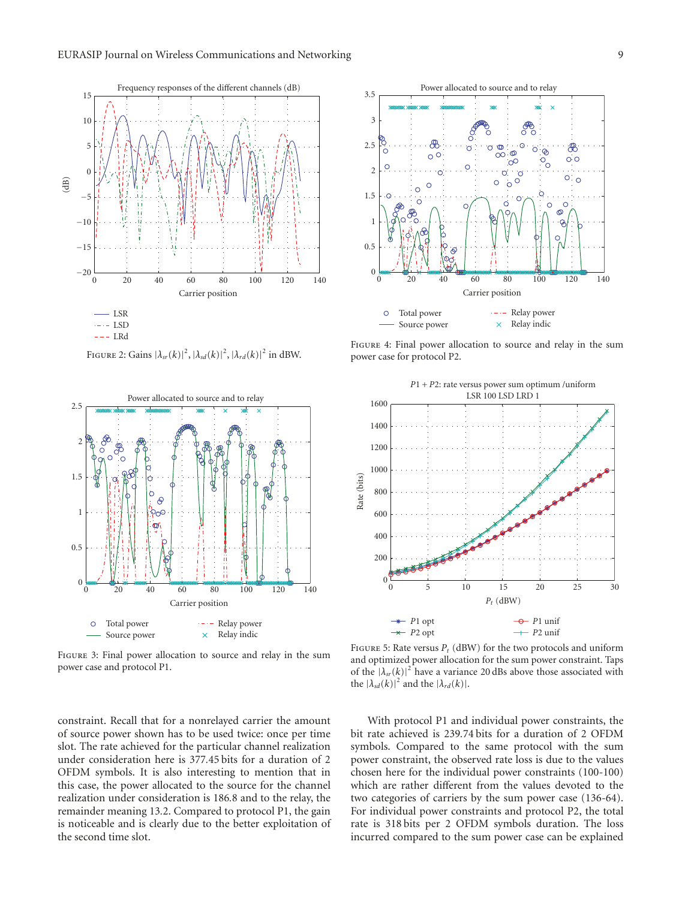

FIGURE 2: Gains  $|\lambda_{sr}(k)|^2$ ,  $|\lambda_{sd}(k)|^2$ ,  $|\lambda_{rd}(k)|^2$  in dBW.



Figure 3: Final power allocation to source and relay in the sum power case and protocol P1.

constraint. Recall that for a nonrelayed carrier the amount of source power shown has to be used twice: once per time slot. The rate achieved for the particular channel realization under consideration here is 377*.*45 bits for a duration of 2 OFDM symbols. It is also interesting to mention that in this case, the power allocated to the source for the channel realization under consideration is 186*.*8 and to the relay, the remainder meaning 13*.*2. Compared to protocol P1, the gain is noticeable and is clearly due to the better exploitation of the second time slot.



Figure 4: Final power allocation to source and relay in the sum power case for protocol P2.



FIGURE 5: Rate versus  $P_t$  (dBW) for the two protocols and uniform and optimized power allocation for the sum power constraint. Taps of the  $|\lambda_{sr}(k)|^2$  have a variance 20 dBs above those associated with the  $|\lambda_{sd}(k)|^2$  and the  $|\lambda_{rd}(k)|$ .

With protocol P1 and individual power constraints, the bit rate achieved is 239*.*74 bits for a duration of 2 OFDM symbols. Compared to the same protocol with the sum power constraint, the observed rate loss is due to the values chosen here for the individual power constraints (100-100) which are rather different from the values devoted to the two categories of carriers by the sum power case (136-64). For individual power constraints and protocol P2, the total rate is 318 bits per 2 OFDM symbols duration. The loss incurred compared to the sum power case can be explained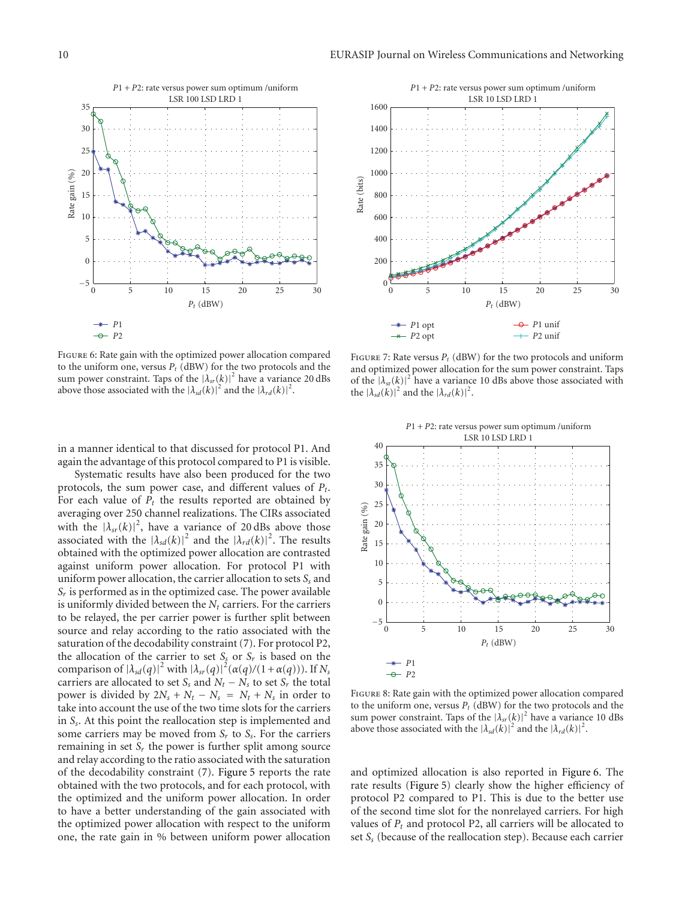

Figure 6: Rate gain with the optimized power allocation compared to the uniform one, versus  $P_t$  (dBW) for the two protocols and the sum power constraint. Taps of the  $|\lambda_{sr}(k)|^2$  have a variance 20 dBs above those associated with the  $|\lambda_{sd}(k)|^2$  and the  $|\lambda_{rd}(k)|^2$ .

in a manner identical to that discussed for protocol P1. And again the advantage of this protocol compared to P1 is visible.

Systematic results have also been produced for the two protocols, the sum power case, and different values of *Pt*. For each value of  $P_t$  the results reported are obtained by averaging over 250 channel realizations. The CIRs associated with the  $|\lambda_{sr}(k)|^2$ , have a variance of 20 dBs above those associated with the  $|\lambda_{sd}(k)|^2$  and the  $|\lambda_{rd}(k)|^2$ . The results obtained with the optimized power allocation are contrasted against uniform power allocation. For protocol P1 with uniform power allocation, the carrier allocation to sets  $S<sub>s</sub>$  and  $S_r$  is performed as in the optimized case. The power available is uniformly divided between the  $N_t$  carriers. For the carriers to be relayed, the per carrier power is further split between source and relay according to the ratio associated with the saturation of the decodability constraint (7). For protocol P2, the allocation of the carrier to set  $S<sub>s</sub>$  or  $S<sub>r</sub>$  is based on the comparison of  $|\lambda_{sd}(q)|^2$  with  $|\lambda_{sr}(q)|^2(\alpha(q)/(1+\alpha(q)))$ . If  $N_s$ carriers are allocated to set  $S_s$  and  $N_t - N_s$  to set  $S_t$  the total power is divided by  $2N_s + N_t - N_s = N_t + N_s$  in order to take into account the use of the two time slots for the carriers in *Ss*. At this point the reallocation step is implemented and some carriers may be moved from *Sr* to *Ss*. For the carriers remaining in set  $S_r$  the power is further split among source and relay according to the ratio associated with the saturation of the decodability constraint (7). Figure 5 reports the rate obtained with the two protocols, and for each protocol, with the optimized and the uniform power allocation. In order to have a better understanding of the gain associated with the optimized power allocation with respect to the uniform one, the rate gain in % between uniform power allocation



FIGURE 7: Rate versus  $P_t$  (dBW) for the two protocols and uniform and optimized power allocation for the sum power constraint. Taps of the  $|\lambda_{sr}(k)|^2$  have a variance 10 dBs above those associated with the  $|\lambda_{sd}(k)|^2$  and the  $|\lambda_{rd}(k)|^2$ .



Figure 8: Rate gain with the optimized power allocation compared to the uniform one, versus  $P_t$  (dBW) for the two protocols and the sum power constraint. Taps of the  $|\lambda_{sr}(k)|^2$  have a variance 10 dBs above those associated with the  $|\lambda_{sd}(k)|^2$  and the  $|\lambda_{rd}(k)|^2$ .

and optimized allocation is also reported in Figure 6. The rate results (Figure 5) clearly show the higher efficiency of protocol P2 compared to P1. This is due to the better use of the second time slot for the nonrelayed carriers. For high values of  $P_t$  and protocol P2, all carriers will be allocated to set *Ss* (because of the reallocation step). Because each carrier